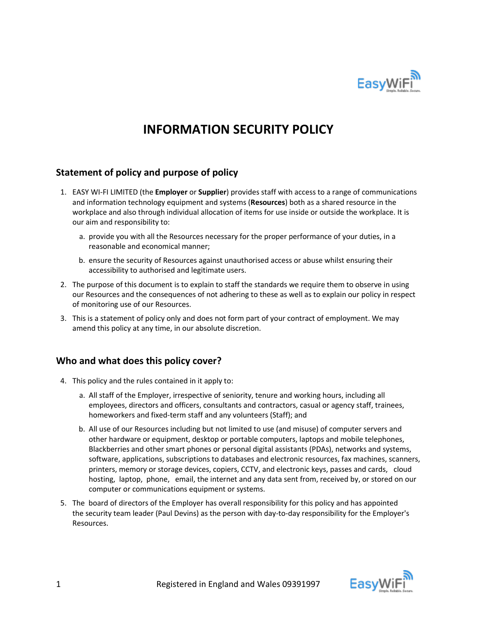

# **INFORMATION SECURITY POLICY**

## **Statement of policy and purpose of policy**

- 1. EASY WI-FI LIMITED (the **Employer** or **Supplier**) provides staff with access to a range of communications and information technology equipment and systems (**Resources**) both as a shared resource in the workplace and also through individual allocation of items for use inside or outside the workplace. It is our aim and responsibility to:
	- a. provide you with all the Resources necessary for the proper performance of your duties, in a reasonable and economical manner;
	- b. ensure the security of Resources against unauthorised access or abuse whilst ensuring their accessibility to authorised and legitimate users.
- 2. The purpose of this document is to explain to staff the standards we require them to observe in using our Resources and the consequences of not adhering to these as well as to explain our policy in respect of monitoring use of our Resources.
- 3. This is a statement of policy only and does not form part of your contract of employment. We may amend this policy at any time, in our absolute discretion.

#### **Who and what does this policy cover?**

- 4. This policy and the rules contained in it apply to:
	- a. All staff of the Employer, irrespective of seniority, tenure and working hours, including all employees, directors and officers, consultants and contractors, casual or agency staff, trainees, homeworkers and fixed-term staff and any volunteers (Staff); and
	- b. All use of our Resources including but not limited to use (and misuse) of computer servers and other hardware or equipment, desktop or portable computers, laptops and mobile telephones, Blackberries and other smart phones or personal digital assistants (PDAs), networks and systems, software, applications, subscriptions to databases and electronic resources, fax machines, scanners, printers, memory or storage devices, copiers, CCTV, and electronic keys, passes and cards, cloud hosting, laptop, phone, email, the internet and any data sent from, received by, or stored on our computer or communications equipment or systems.
- 5. The board of directors of the Employer has overall responsibility for this policy and has appointed the security team leader (Paul Devins) as the person with day-to-day responsibility for the Employer's Resources.

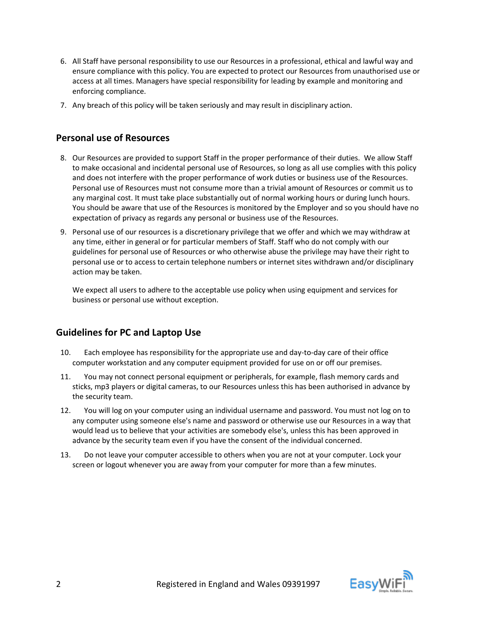- 6. All Staff have personal responsibility to use our Resources in a professional, ethical and lawful way and ensure compliance with this policy. You are expected to protect our Resources from unauthorised use or access at all times. Managers have special responsibility for leading by example and monitoring and enforcing compliance.
- 7. Any breach of this policy will be taken seriously and may result in disciplinary action.

#### **Personal use of Resources**

- 8. Our Resources are provided to support Staff in the proper performance of their duties. We allow Staff to make occasional and incidental personal use of Resources, so long as all use complies with this policy and does not interfere with the proper performance of work duties or business use of the Resources. Personal use of Resources must not consume more than a trivial amount of Resources or commit us to any marginal cost. It must take place substantially out of normal working hours or during lunch hours. You should be aware that use of the Resources is monitored by the Employer and so you should have no expectation of privacy as regards any personal or business use of the Resources.
- 9. Personal use of our resources is a discretionary privilege that we offer and which we may withdraw at any time, either in general or for particular members of Staff. Staff who do not comply with our guidelines for personal use of Resources or who otherwise abuse the privilege may have their right to personal use or to access to certain telephone numbers or internet sites withdrawn and/or disciplinary action may be taken.

We expect all users to adhere to the acceptable use policy when using equipment and services for business or personal use without exception.

#### **Guidelines for PC and Laptop Use**

- 10. Each employee has responsibility for the appropriate use and day-to-day care of their office computer workstation and any computer equipment provided for use on or off our premises.
- 11. You may not connect personal equipment or peripherals, for example, flash memory cards and sticks, mp3 players or digital cameras, to our Resources unless this has been authorised in advance by the security team.
- 12. You will log on your computer using an individual username and password. You must not log on to any computer using someone else's name and password or otherwise use our Resources in a way that would lead us to believe that your activities are somebody else's, unless this has been approved in advance by the security team even if you have the consent of the individual concerned.
- 13. Do not leave your computer accessible to others when you are not at your computer. Lock your screen or logout whenever you are away from your computer for more than a few minutes.

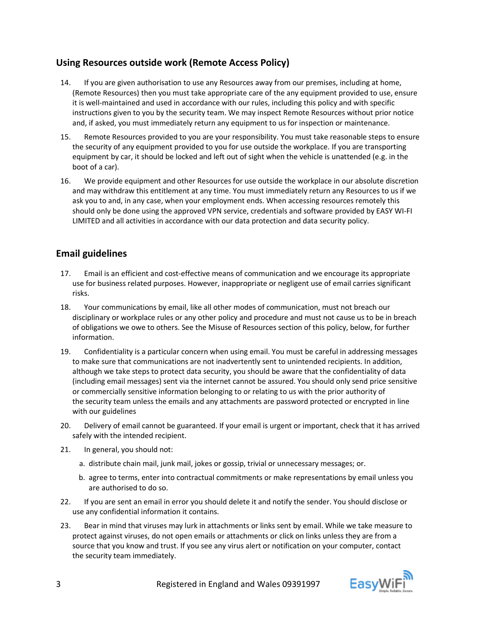# **Using Resources outside work (Remote Access Policy)**

- 14. If you are given authorisation to use any Resources away from our premises, including at home, (Remote Resources) then you must take appropriate care of the any equipment provided to use, ensure it is well-maintained and used in accordance with our rules, including this policy and with specific instructions given to you by the security team. We may inspect Remote Resources without prior notice and, if asked, you must immediately return any equipment to us for inspection or maintenance.
- 15. Remote Resources provided to you are your responsibility. You must take reasonable steps to ensure the security of any equipment provided to you for use outside the workplace. If you are transporting equipment by car, it should be locked and left out of sight when the vehicle is unattended (e.g. in the boot of a car).
- 16. We provide equipment and other Resources for use outside the workplace in our absolute discretion and may withdraw this entitlement at any time. You must immediately return any Resources to us if we ask you to and, in any case, when your employment ends. When accessing resources remotely this should only be done using the approved VPN service, credentials and software provided by EASY WI-FI LIMITED and all activities in accordance with our data protection and data security policy.

## **Email guidelines**

- 17. Email is an efficient and cost-effective means of communication and we encourage its appropriate use for business related purposes. However, inappropriate or negligent use of email carries significant risks.
- 18. Your communications by email, like all other modes of communication, must not breach our disciplinary or workplace rules or any other policy and procedure and must not cause us to be in breach of obligations we owe to others. See the Misuse of Resources section of this policy, below, for further information.
- 19. Confidentiality is a particular concern when using email. You must be careful in addressing messages to make sure that communications are not inadvertently sent to unintended recipients. In addition, although we take steps to protect data security, you should be aware that the confidentiality of data (including email messages) sent via the internet cannot be assured. You should only send price sensitive or commercially sensitive information belonging to or relating to us with the prior authority of the security team unless the emails and any attachments are password protected or encrypted in line with our guidelines
- 20. Delivery of email cannot be guaranteed. If your email is urgent or important, check that it has arrived safely with the intended recipient.
- 21. In general, you should not:
	- a. distribute chain mail, junk mail, jokes or gossip, trivial or unnecessary messages; or.
	- b. agree to terms, enter into contractual commitments or make representations by email unless you are authorised to do so.
- 22. If you are sent an email in error you should delete it and notify the sender. You should disclose or use any confidential information it contains.
- 23. Bear in mind that viruses may lurk in attachments or links sent by email. While we take measure to protect against viruses, do not open emails or attachments or click on links unless they are from a source that you know and trust. If you see any virus alert or notification on your computer, contact the security team immediately.

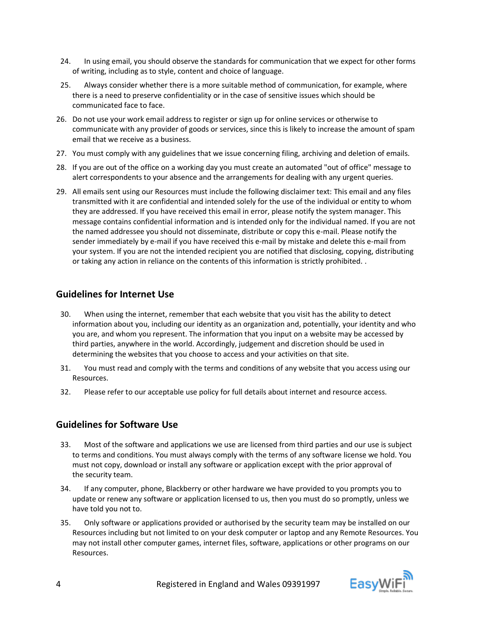- 24. In using email, you should observe the standards for communication that we expect for other forms of writing, including as to style, content and choice of language.
- 25. Always consider whether there is a more suitable method of communication, for example, where there is a need to preserve confidentiality or in the case of sensitive issues which should be communicated face to face.
- 26. Do not use your work email address to register or sign up for online services or otherwise to communicate with any provider of goods or services, since this is likely to increase the amount of spam email that we receive as a business.
- 27. You must comply with any guidelines that we issue concerning filing, archiving and deletion of emails.
- 28. If you are out of the office on a working day you must create an automated "out of office" message to alert correspondents to your absence and the arrangements for dealing with any urgent queries.
- 29. All emails sent using our Resources must include the following disclaimer text: This email and any files transmitted with it are confidential and intended solely for the use of the individual or entity to whom they are addressed. If you have received this email in error, please notify the system manager. This message contains confidential information and is intended only for the individual named. If you are not the named addressee you should not disseminate, distribute or copy this e-mail. Please notify the sender immediately by e-mail if you have received this e-mail by mistake and delete this e-mail from your system. If you are not the intended recipient you are notified that disclosing, copying, distributing or taking any action in reliance on the contents of this information is strictly prohibited. .

# **Guidelines for Internet Use**

- 30. When using the internet, remember that each website that you visit has the ability to detect information about you, including our identity as an organization and, potentially, your identity and who you are, and whom you represent. The information that you input on a website may be accessed by third parties, anywhere in the world. Accordingly, judgement and discretion should be used in determining the websites that you choose to access and your activities on that site.
- 31. You must read and comply with the terms and conditions of any website that you access using our Resources.
- 32. Please refer to our acceptable use policy for full details about internet and resource access.

#### **Guidelines for Software Use**

- 33. Most of the software and applications we use are licensed from third parties and our use is subject to terms and conditions. You must always comply with the terms of any software license we hold. You must not copy, download or install any software or application except with the prior approval of the security team.
- 34. If any computer, phone, Blackberry or other hardware we have provided to you prompts you to update or renew any software or application licensed to us, then you must do so promptly, unless we have told you not to.
- 35. Only software or applications provided or authorised by the security team may be installed on our Resources including but not limited to on your desk computer or laptop and any Remote Resources. You may not install other computer games, internet files, software, applications or other programs on our Resources.

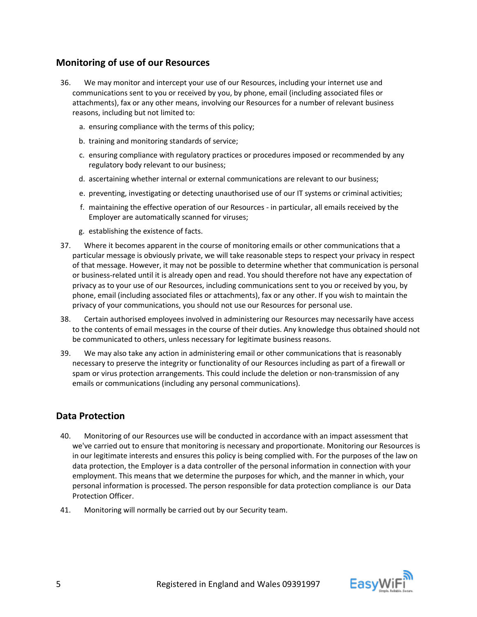## **Monitoring of use of our Resources**

- 36. We may monitor and intercept your use of our Resources, including your internet use and communications sent to you or received by you, by phone, email (including associated files or attachments), fax or any other means, involving our Resources for a number of relevant business reasons, including but not limited to:
	- a. ensuring compliance with the terms of this policy;
	- b. training and monitoring standards of service;
	- c. ensuring compliance with regulatory practices or procedures imposed or recommended by any regulatory body relevant to our business;
	- d. ascertaining whether internal or external communications are relevant to our business;
	- e. preventing, investigating or detecting unauthorised use of our IT systems or criminal activities;
	- f. maintaining the effective operation of our Resources in particular, all emails received by the Employer are automatically scanned for viruses;
	- g. establishing the existence of facts.
- 37. Where it becomes apparent in the course of monitoring emails or other communications that a particular message is obviously private, we will take reasonable steps to respect your privacy in respect of that message. However, it may not be possible to determine whether that communication is personal or business-related until it is already open and read. You should therefore not have any expectation of privacy as to your use of our Resources, including communications sent to you or received by you, by phone, email (including associated files or attachments), fax or any other. If you wish to maintain the privacy of your communications, you should not use our Resources for personal use.
- 38. Certain authorised employees involved in administering our Resources may necessarily have access to the contents of email messages in the course of their duties. Any knowledge thus obtained should not be communicated to others, unless necessary for legitimate business reasons.
- 39. We may also take any action in administering email or other communications that is reasonably necessary to preserve the integrity or functionality of our Resources including as part of a firewall or spam or virus protection arrangements. This could include the deletion or non-transmission of any emails or communications (including any personal communications).

# **Data Protection**

- 40. Monitoring of our Resources use will be conducted in accordance with an impact assessment that we've carried out to ensure that monitoring is necessary and proportionate. Monitoring our Resources is in our legitimate interests and ensures this policy is being complied with. For the purposes of the law on data protection, the Employer is a data controller of the personal information in connection with your employment. This means that we determine the purposes for which, and the manner in which, your personal information is processed. The person responsible for data protection compliance is our Data Protection Officer.
- 41. Monitoring will normally be carried out by our Security team.

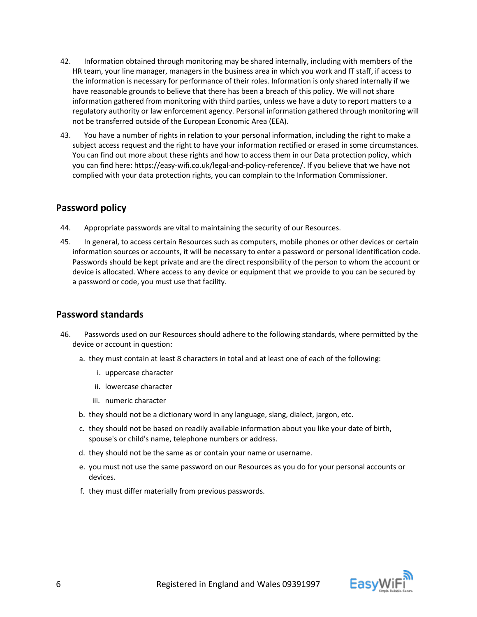- 42. Information obtained through monitoring may be shared internally, including with members of the HR team, your line manager, managers in the business area in which you work and IT staff, if access to the information is necessary for performance of their roles. Information is only shared internally if we have reasonable grounds to believe that there has been a breach of this policy. We will not share information gathered from monitoring with third parties, unless we have a duty to report matters to a regulatory authority or law enforcement agency. Personal information gathered through monitoring will not be transferred outside of the European Economic Area (EEA).
- 43. You have a number of rights in relation to your personal information, including the right to make a subject access request and the right to have your information rectified or erased in some circumstances. You can find out more about these rights and how to access them in our Data protection policy, which you can find here: https://easy-wifi.co.uk/legal-and-policy-reference/. If you believe that we have not complied with your data protection rights, you can complain to the Information Commissioner.

## **Password policy**

- 44. Appropriate passwords are vital to maintaining the security of our Resources.
- 45. In general, to access certain Resources such as computers, mobile phones or other devices or certain information sources or accounts, it will be necessary to enter a password or personal identification code. Passwords should be kept private and are the direct responsibility of the person to whom the account or device is allocated. Where access to any device or equipment that we provide to you can be secured by a password or code, you must use that facility.

# **Password standards**

- 46. Passwords used on our Resources should adhere to the following standards, where permitted by the device or account in question:
	- a. they must contain at least 8 characters in total and at least one of each of the following:
		- i. uppercase character
		- ii. lowercase character
		- iii. numeric character
	- b. they should not be a dictionary word in any language, slang, dialect, jargon, etc.
	- c. they should not be based on readily available information about you like your date of birth, spouse's or child's name, telephone numbers or address.
	- d. they should not be the same as or contain your name or username.
	- e. you must not use the same password on our Resources as you do for your personal accounts or devices.
	- f. they must differ materially from previous passwords.

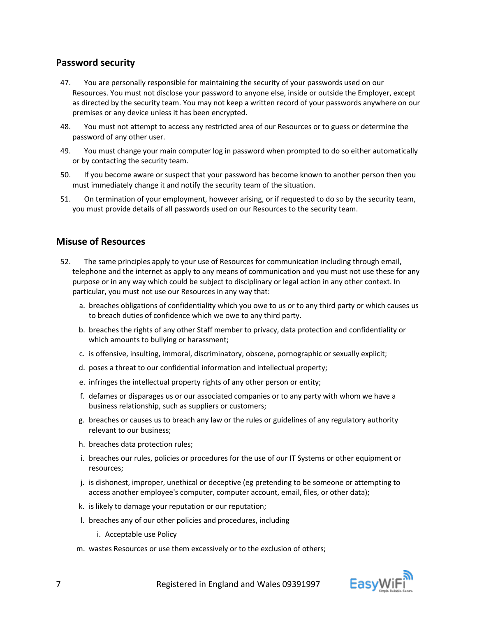## **Password security**

- 47. You are personally responsible for maintaining the security of your passwords used on our Resources. You must not disclose your password to anyone else, inside or outside the Employer, except as directed by the security team. You may not keep a written record of your passwords anywhere on our premises or any device unless it has been encrypted.
- 48. You must not attempt to access any restricted area of our Resources or to guess or determine the password of any other user.
- 49. You must change your main computer log in password when prompted to do so either automatically or by contacting the security team.
- 50. If you become aware or suspect that your password has become known to another person then you must immediately change it and notify the security team of the situation.
- 51. On termination of your employment, however arising, or if requested to do so by the security team, you must provide details of all passwords used on our Resources to the security team.

#### **Misuse of Resources**

- 52. The same principles apply to your use of Resources for communication including through email, telephone and the internet as apply to any means of communication and you must not use these for any purpose or in any way which could be subject to disciplinary or legal action in any other context. In particular, you must not use our Resources in any way that:
	- a. breaches obligations of confidentiality which you owe to us or to any third party or which causes us to breach duties of confidence which we owe to any third party.
	- b. breaches the rights of any other Staff member to privacy, data protection and confidentiality or which amounts to bullying or harassment;
	- c. is offensive, insulting, immoral, discriminatory, obscene, pornographic or sexually explicit;
	- d. poses a threat to our confidential information and intellectual property;
	- e. infringes the intellectual property rights of any other person or entity;
	- f. defames or disparages us or our associated companies or to any party with whom we have a business relationship, such as suppliers or customers;
	- g. breaches or causes us to breach any law or the rules or guidelines of any regulatory authority relevant to our business;
	- h. breaches data protection rules;
	- i. breaches our rules, policies or procedures for the use of our IT Systems or other equipment or resources;
	- j. is dishonest, improper, unethical or deceptive (eg pretending to be someone or attempting to access another employee's computer, computer account, email, files, or other data);
	- k. is likely to damage your reputation or our reputation;
	- l. breaches any of our other policies and procedures, including
		- i. Acceptable use Policy
	- m. wastes Resources or use them excessively or to the exclusion of others;